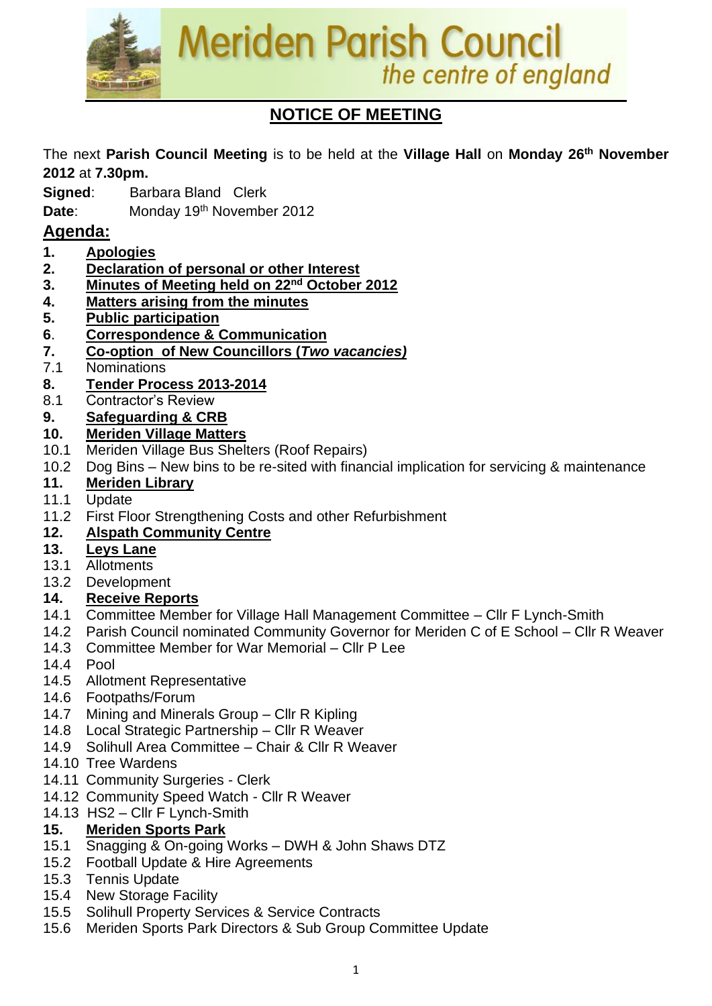

## **NOTICE OF MEETING**

The next **Parish Council Meeting** is to be held at the **Village Hall** on **Monday 26 th November 2012** at **7.30pm.**

- **Signed:** Barbara Bland Clerk
- **Date:** Monday 19<sup>th</sup> November 2012

### **Agenda:**

- **1. Apologies**
- **2. Declaration of personal or other Interest**
- **3. Minutes of Meeting held on 22nd October 2012**
- **4. Matters arising from the minutes**
- **5. Public participation**
- **6**. **Correspondence & Communication**
- **7. Co-option of New Councillors (***Two vacancies)*
- 7.1 Nominations
- **8. Tender Process 2013-2014**
- 8.1 Contractor's Review

### **9. Safeguarding & CRB**

- **10. Meriden Village Matters**
- 10.1 Meriden Village Bus Shelters (Roof Repairs)
- 10.2 Dog Bins New bins to be re-sited with financial implication for servicing & maintenance

### **11. Meriden Library**

- 11.1 Update
- 11.2 First Floor Strengthening Costs and other Refurbishment

### **12. Alspath Community Centre**

### **13. Leys Lane**

- 13.1 Allotments
- 13.2 Development

### **14. Receive Reports**

- 14.1 Committee Member for Village Hall Management Committee Cllr F Lynch-Smith
- 14.2 Parish Council nominated Community Governor for Meriden C of E School Cllr R Weaver
- 14.3 Committee Member for War Memorial Cllr P Lee
- 14.4 Pool
- 14.5 Allotment Representative
- 14.6 Footpaths/Forum
- 14.7 Mining and Minerals Group Cllr R Kipling
- 14.8 Local Strategic Partnership Cllr R Weaver
- 14.9 Solihull Area Committee Chair & Cllr R Weaver
- 14.10 Tree Wardens
- 14.11 Community Surgeries Clerk
- 14.12 Community Speed Watch Cllr R Weaver
- 14.13 HS2 Cllr F Lynch-Smith

### **15. Meriden Sports Park**

- 15.1 Snagging & On-going Works DWH & John Shaws DTZ
- 15.2 Football Update & Hire Agreements
- 15.3 Tennis Update
- 15.4 New Storage Facility
- 15.5 Solihull Property Services & Service Contracts
- 15.6 Meriden Sports Park Directors & Sub Group Committee Update